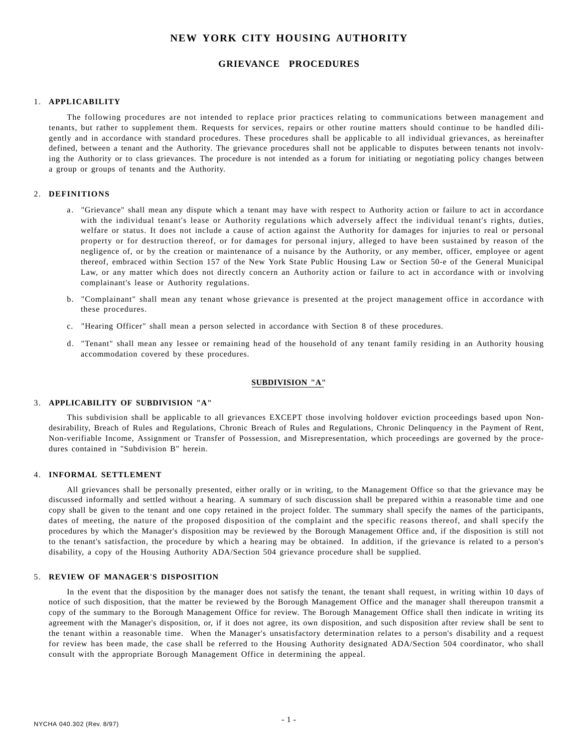# **NEW YORK CITY HOUSING AUTHORITY**

# **GRIEVANCE PROCEDURES**

#### 1. **APPLICABILITY**

The following procedures are not intended to replace prior practices relating to communications between management and tenants, but rather to supplement them. Requests for services, repairs or other routine matters should continue to be handled diligently and in accordance with standard procedures. These procedures shall be applicable to all individual grievances, as hereinafter defined, between a tenant and the Authority. The grievance procedures shall not be applicable to disputes between tenants not involving the Authority or to class grievances. The procedure is not intended as a forum for initiating or negotiating policy changes between a group or groups of tenants and the Authority.

### 2. **DEFINITIONS**

- a. "Grievance" shall mean any dispute which a tenant may have with respect to Authority action or failure to act in accordance with the individual tenant's lease or Authority regulations which adversely affect the individual tenant's rights, duties, welfare or status. It does not include a cause of action against the Authority for damages for injuries to real or personal property or for destruction thereof, or for damages for personal injury, alleged to have been sustained by reason of the negligence of, or by the creation or maintenance of a nuisance by the Authority, or any member, officer, employee or agent thereof, embraced within Section 157 of the New York State Public Housing Law or Section 50-e of the General Municipal Law, or any matter which does not directly concern an Authority action or failure to act in accordance with or involving complainant's lease or Authority regulations.
- b. "Complainant" shall mean any tenant whose grievance is presented at the project management office in accordance with these procedures.
- c. "Hearing Officer" shall mean a person selected in accordance with Section 8 of these procedures.
- d. "Tenant" shall mean any lessee or remaining head of the household of any tenant family residing in an Authority housing accommodation covered by these procedures.

### **SUBDIVISION "A"**

## 3. **APPLICABILITY OF SUBDIVISION "A"**

This subdivision shall be applicable to all grievances EXCEPT those involving holdover eviction proceedings based upon Nondesirability, Breach of Rules and Regulations, Chronic Breach of Rules and Regulations, Chronic Delinquency in the Payment of Rent, Non-verifiable Income, Assignment or Transfer of Possession, and Misrepresentation, which proceedings are governed by the procedures contained in "Subdivision B" herein.

### 4. **INFORMAL SETTLEMENT**

All grievances shall be personally presented, either orally or in writing, to the Management Office so that the grievance may be discussed informally and settled without a hearing. A summary of such discussion shall be prepared within a reasonable time and one copy shall be given to the tenant and one copy retained in the project folder. The summary shall specify the names of the participants, dates of meeting, the nature of the proposed disposition of the complaint and the specific reasons thereof, and shall specify the procedures by which the Manager's disposition may be reviewed by the Borough Management Office and, if the disposition is still not to the tenant's satisfaction, the procedure by which a hearing may be obtained. In addition, if the grievance is related to a person's disability, a copy of the Housing Authority ADA/Section 504 grievance procedure shall be supplied.

#### 5. **REVIEW OF MANAGER'S DISPOSITION**

In the event that the disposition by the manager does not satisfy the tenant, the tenant shall request, in writing within 10 days of notice of such disposition, that the matter be reviewed by the Borough Management Office and the manager shall thereupon transmit a copy of the summary to the Borough Management Office for review. The Borough Management Office shall then indicate in writing its agreement with the Manager's disposition, or, if it does not agree, its own disposition, and such disposition after review shall be sent to the tenant within a reasonable time. When the Manager's unsatisfactory determination relates to a person's disability and a request for review has been made, the case shall be referred to the Housing Authority designated ADA/Section 504 coordinator, who shall consult with the appropriate Borough Management Office in determining the appeal.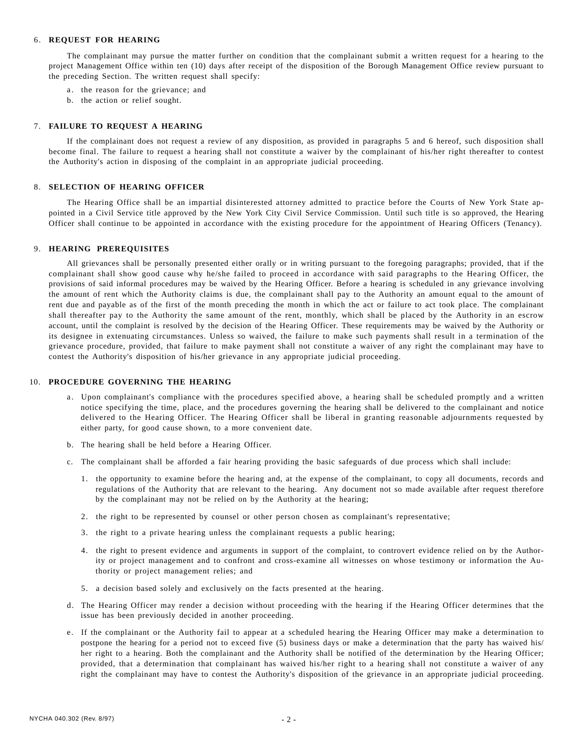#### 6. **REQUEST FOR HEARING**

The complainant may pursue the matter further on condition that the complainant submit a written request for a hearing to the project Management Office within ten (10) days after receipt of the disposition of the Borough Management Office review pursuant to the preceding Section. The written request shall specify:

- a. the reason for the grievance; and
- b. the action or relief sought.

#### 7. **FAILURE TO REQUEST A HEARING**

If the complainant does not request a review of any disposition, as provided in paragraphs 5 and 6 hereof, such disposition shall become final. The failure to request a hearing shall not constitute a waiver by the complainant of his/her right thereafter to contest the Authority's action in disposing of the complaint in an appropriate judicial proceeding.

### 8. **SELECTION OF HEARING OFFICER**

The Hearing Office shall be an impartial disinterested attorney admitted to practice before the Courts of New York State appointed in a Civil Service title approved by the New York City Civil Service Commission. Until such title is so approved, the Hearing Officer shall continue to be appointed in accordance with the existing procedure for the appointment of Hearing Officers (Tenancy).

#### 9. **HEARING PREREQUISITES**

All grievances shall be personally presented either orally or in writing pursuant to the foregoing paragraphs; provided, that if the complainant shall show good cause why he/she failed to proceed in accordance with said paragraphs to the Hearing Officer, the provisions of said informal procedures may be waived by the Hearing Officer. Before a hearing is scheduled in any grievance involving the amount of rent which the Authority claims is due, the complainant shall pay to the Authority an amount equal to the amount of rent due and payable as of the first of the month preceding the month in which the act or failure to act took place. The complainant shall thereafter pay to the Authority the same amount of the rent, monthly, which shall be placed by the Authority in an escrow account, until the complaint is resolved by the decision of the Hearing Officer. These requirements may be waived by the Authority or its designee in extenuating circumstances. Unless so waived, the failure to make such payments shall result in a termination of the grievance procedure, provided, that failure to make payment shall not constitute a waiver of any right the complainant may have to contest the Authority's disposition of his/her grievance in any appropriate judicial proceeding.

#### 10. **PROCEDURE GOVERNING THE HEARING**

- a. Upon complainant's compliance with the procedures specified above, a hearing shall be scheduled promptly and a written notice specifying the time, place, and the procedures governing the hearing shall be delivered to the complainant and notice delivered to the Hearing Officer. The Hearing Officer shall be liberal in granting reasonable adjournments requested by either party, for good cause shown, to a more convenient date.
- b. The hearing shall be held before a Hearing Officer.
- c. The complainant shall be afforded a fair hearing providing the basic safeguards of due process which shall include:
	- 1. the opportunity to examine before the hearing and, at the expense of the complainant, to copy all documents, records and regulations of the Authority that are relevant to the hearing. Any document not so made available after request therefore by the complainant may not be relied on by the Authority at the hearing;
	- 2. the right to be represented by counsel or other person chosen as complainant's representative;
	- 3. the right to a private hearing unless the complainant requests a public hearing;
	- 4. the right to present evidence and arguments in support of the complaint, to controvert evidence relied on by the Authority or project management and to confront and cross-examine all witnesses on whose testimony or information the Authority or project management relies; and
	- 5. a decision based solely and exclusively on the facts presented at the hearing.
- d. The Hearing Officer may render a decision without proceeding with the hearing if the Hearing Officer determines that the issue has been previously decided in another proceeding.
- e. If the complainant or the Authority fail to appear at a scheduled hearing the Hearing Officer may make a determination to postpone the hearing for a period not to exceed five (5) business days or make a determination that the party has waived his/ her right to a hearing. Both the complainant and the Authority shall be notified of the determination by the Hearing Officer; provided, that a determination that complainant has waived his/her right to a hearing shall not constitute a waiver of any right the complainant may have to contest the Authority's disposition of the grievance in an appropriate judicial proceeding.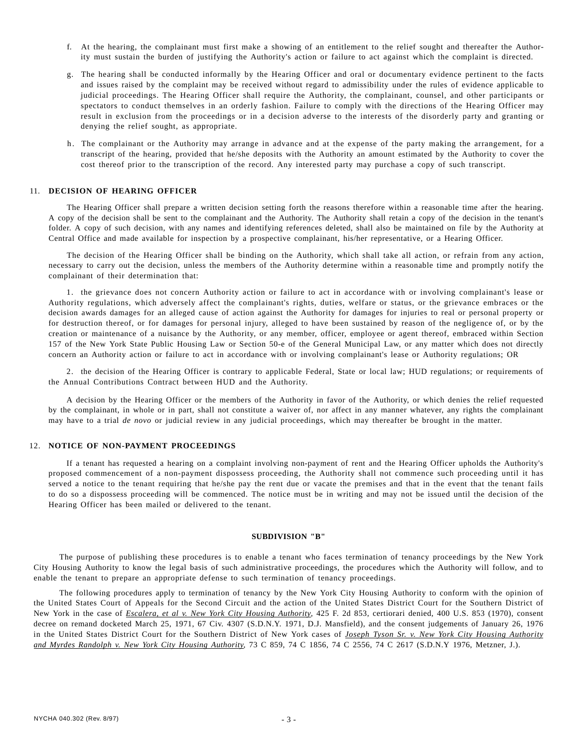- f. At the hearing, the complainant must first make a showing of an entitlement to the relief sought and thereafter the Authority must sustain the burden of justifying the Authority's action or failure to act against which the complaint is directed.
- g. The hearing shall be conducted informally by the Hearing Officer and oral or documentary evidence pertinent to the facts and issues raised by the complaint may be received without regard to admissibility under the rules of evidence applicable to judicial proceedings. The Hearing Officer shall require the Authority, the complainant, counsel, and other participants or spectators to conduct themselves in an orderly fashion. Failure to comply with the directions of the Hearing Officer may result in exclusion from the proceedings or in a decision adverse to the interests of the disorderly party and granting or denying the relief sought, as appropriate.
- h. The complainant or the Authority may arrange in advance and at the expense of the party making the arrangement, for a transcript of the hearing, provided that he/she deposits with the Authority an amount estimated by the Authority to cover the cost thereof prior to the transcription of the record. Any interested party may purchase a copy of such transcript.

#### 11. **DECISION OF HEARING OFFICER**

The Hearing Officer shall prepare a written decision setting forth the reasons therefore within a reasonable time after the hearing. A copy of the decision shall be sent to the complainant and the Authority. The Authority shall retain a copy of the decision in the tenant's folder. A copy of such decision, with any names and identifying references deleted, shall also be maintained on file by the Authority at Central Office and made available for inspection by a prospective complainant, his/her representative, or a Hearing Officer.

The decision of the Hearing Officer shall be binding on the Authority, which shall take all action, or refrain from any action, necessary to carry out the decision, unless the members of the Authority determine within a reasonable time and promptly notify the complainant of their determination that:

1. the grievance does not concern Authority action or failure to act in accordance with or involving complainant's lease or Authority regulations, which adversely affect the complainant's rights, duties, welfare or status, or the grievance embraces or the decision awards damages for an alleged cause of action against the Authority for damages for injuries to real or personal property or for destruction thereof, or for damages for personal injury, alleged to have been sustained by reason of the negligence of, or by the creation or maintenance of a nuisance by the Authority, or any member, officer, employee or agent thereof, embraced within Section 157 of the New York State Public Housing Law or Section 50-e of the General Municipal Law, or any matter which does not directly concern an Authority action or failure to act in accordance with or involving complainant's lease or Authority regulations; OR

2. the decision of the Hearing Officer is contrary to applicable Federal, State or local law; HUD regulations; or requirements of the Annual Contributions Contract between HUD and the Authority.

A decision by the Hearing Officer or the members of the Authority in favor of the Authority, or which denies the relief requested by the complainant, in whole or in part, shall not constitute a waiver of, nor affect in any manner whatever, any rights the complainant may have to a trial *de novo* or judicial review in any judicial proceedings, which may thereafter be brought in the matter.

#### 12. **NOTICE OF NON-PAYMENT PROCEEDINGS**

If a tenant has requested a hearing on a complaint involving non-payment of rent and the Hearing Officer upholds the Authority's proposed commencement of a non-payment dispossess proceeding, the Authority shall not commence such proceeding until it has served a notice to the tenant requiring that he/she pay the rent due or vacate the premises and that in the event that the tenant fails to do so a dispossess proceeding will be commenced. The notice must be in writing and may not be issued until the decision of the Hearing Officer has been mailed or delivered to the tenant.

#### **SUBDIVISION "B"**

The purpose of publishing these procedures is to enable a tenant who faces termination of tenancy proceedings by the New York City Housing Authority to know the legal basis of such administrative proceedings, the procedures which the Authority will follow, and to enable the tenant to prepare an appropriate defense to such termination of tenancy proceedings.

The following procedures apply to termination of tenancy by the New York City Housing Authority to conform with the opinion of the United States Court of Appeals for the Second Circuit and the action of the United States District Court for the Southern District of New York in the case of *Escalera, et al v. New York City Housing Authority,* 425 F. 2d 853, certiorari denied, 400 U.S. 853 (1970), consent decree on remand docketed March 25, 1971, 67 Civ. 4307 (S.D.N.Y. 1971, D.J. Mansfield), and the consent judgements of January 26, 1976 in the United States District Court for the Southern District of New York cases of *Joseph Tyson Sr. v. New York City Housing Authority and Myrdes Randolph v. New York City Housing Authority,* 73 C 859, 74 C 1856, 74 C 2556, 74 C 2617 (S.D.N.Y 1976, Metzner, J.).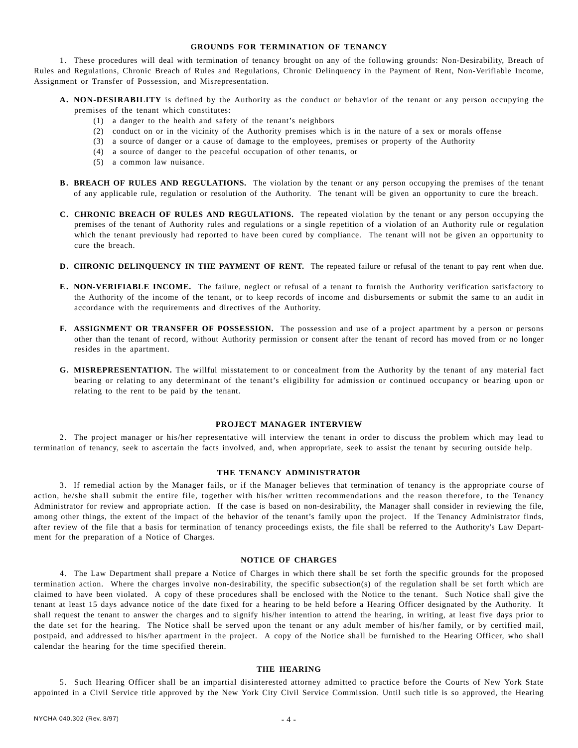## **GROUNDS FOR TERMINATION OF TENANCY**

1. These procedures will deal with termination of tenancy brought on any of the following grounds: Non-Desirability, Breach of Rules and Regulations, Chronic Breach of Rules and Regulations, Chronic Delinquency in the Payment of Rent, Non-Verifiable Income, Assignment or Transfer of Possession, and Misrepresentation.

- **A. NON-DESIRABILITY** is defined by the Authority as the conduct or behavior of the tenant or any person occupying the premises of the tenant which constitutes:
	- (1) a danger to the health and safety of the tenant's neighbors
	- (2) conduct on or in the vicinity of the Authority premises which is in the nature of a sex or morals offense
	- (3) a source of danger or a cause of damage to the employees, premises or property of the Authority
	- (4) a source of danger to the peaceful occupation of other tenants, or
	- (5) a common law nuisance.
- **B. BREACH OF RULES AND REGULATIONS.** The violation by the tenant or any person occupying the premises of the tenant of any applicable rule, regulation or resolution of the Authority. The tenant will be given an opportunity to cure the breach.
- **C. CHRONIC BREACH OF RULES AND REGULATIONS.** The repeated violation by the tenant or any person occupying the premises of the tenant of Authority rules and regulations or a single repetition of a violation of an Authority rule or regulation which the tenant previously had reported to have been cured by compliance. The tenant will not be given an opportunity to cure the breach.
- **D. CHRONIC DELINQUENCY IN THE PAYMENT OF RENT.** The repeated failure or refusal of the tenant to pay rent when due.
- **E. NON-VERIFIABLE INCOME.** The failure, neglect or refusal of a tenant to furnish the Authority verification satisfactory to the Authority of the income of the tenant, or to keep records of income and disbursements or submit the same to an audit in accordance with the requirements and directives of the Authority.
- **F. ASSIGNMENT OR TRANSFER OF POSSESSION.** The possession and use of a project apartment by a person or persons other than the tenant of record, without Authority permission or consent after the tenant of record has moved from or no longer resides in the apartment.
- **G. MISREPRESENTATION.** The willful misstatement to or concealment from the Authority by the tenant of any material fact bearing or relating to any determinant of the tenant's eligibility for admission or continued occupancy or bearing upon or relating to the rent to be paid by the tenant.

#### **PROJECT MANAGER INTERVIEW**

2. The project manager or his/her representative will interview the tenant in order to discuss the problem which may lead to termination of tenancy, seek to ascertain the facts involved, and, when appropriate, seek to assist the tenant by securing outside help.

## **THE TENANCY ADMINISTRATOR**

3. If remedial action by the Manager fails, or if the Manager believes that termination of tenancy is the appropriate course of action, he/she shall submit the entire file, together with his/her written recommendations and the reason therefore, to the Tenancy Administrator for review and appropriate action. If the case is based on non-desirability, the Manager shall consider in reviewing the file, among other things, the extent of the impact of the behavior of the tenant's family upon the project. If the Tenancy Administrator finds, after review of the file that a basis for termination of tenancy proceedings exists, the file shall be referred to the Authority's Law Department for the preparation of a Notice of Charges.

## **NOTICE OF CHARGES**

4. The Law Department shall prepare a Notice of Charges in which there shall be set forth the specific grounds for the proposed termination action. Where the charges involve non-desirability, the specific subsection(s) of the regulation shall be set forth which are claimed to have been violated. A copy of these procedures shall be enclosed with the Notice to the tenant. Such Notice shall give the tenant at least 15 days advance notice of the date fixed for a hearing to be held before a Hearing Officer designated by the Authority. It shall request the tenant to answer the charges and to signify his/her intention to attend the hearing, in writing, at least five days prior to the date set for the hearing. The Notice shall be served upon the tenant or any adult member of his/her family, or by certified mail, postpaid, and addressed to his/her apartment in the project. A copy of the Notice shall be furnished to the Hearing Officer, who shall calendar the hearing for the time specified therein.

### **THE HEARING**

5. Such Hearing Officer shall be an impartial disinterested attorney admitted to practice before the Courts of New York State appointed in a Civil Service title approved by the New York City Civil Service Commission. Until such title is so approved, the Hearing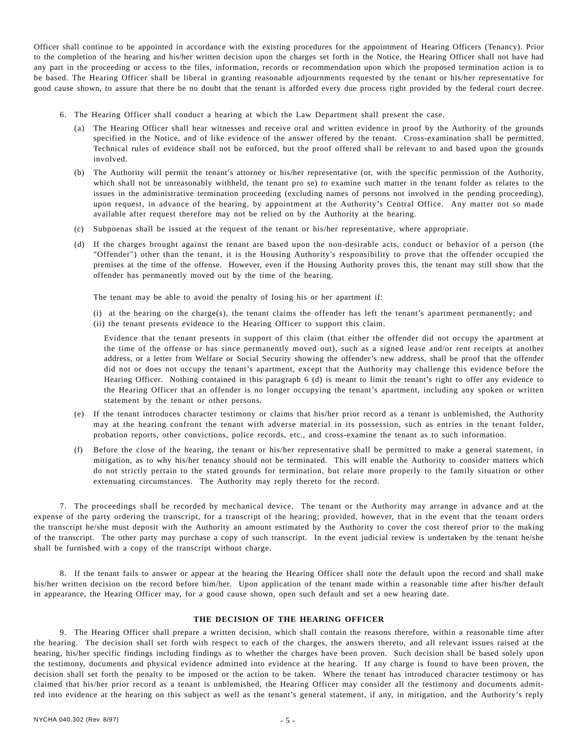Officer shall continue to be appointed in accordance with the existing procedures for the appointment of Hearing Officers (Tenancy). Prior to the completion of the hearing and his/her written decision upon the charges set forth in the Notice, the Hearing Officer shall not have had any part in the proceeding or access to the files, information, records or recommendation upon which the proposed termination action is to be based. The Hearing Officer shall be liberal in granting reasonable adjournments requested by the tenant or his/her representative for good cause shown, to assure that there be no doubt that the tenant is afforded every due process right provided by the federal court decree.

- 6. The Hearing Officer shall conduct a hearing at which the Law Department shall present the case.
	- (a) The Hearing Officer shall hear witnesses and receive oral and written evidence in proof by the Authority of the grounds specified in the Notice, and of like evidence of the answer offered by the tenant. Cross-examination shall be permitted. Technical rules of evidence shall not be enforced, but the proof offered shall be relevant to and based upon the grounds involved.
	- (b) The Authority will permit the tenant's attorney or his/her representative (or, with the specific permission of the Authority, which shall not be unreasonably withheld, the tenant pro se) to examine such matter in the tenant folder as relates to the issues in the administrative termination proceeding (excluding names of persons not involved in the pending proceeding), upon request, in advance of the hearing, by appointment at the Authority's Central Office. Any matter not so made available after request therefore may not be relied on by the Authority at the hearing.
	- (c) Subpoenas shall be issued at the request of the tenant or his/her representative, where appropriate.
	- (d) If the charges brought against the tenant are based upon the non-desirable acts, conduct or behavior of a person (the "Offender") other than the tenant, it is the Housing Authority's responsibility to prove that the offender occupied the premises at the time of the offense. However, even if the Housing Authority proves this, the tenant may still show that the offender has permanently moved out by the time of the hearing.

The tenant may be able to avoid the penalty of losing his or her apartment if:

(i) at the hearing on the charge(s), the tenant claims the offender has left the tenant's apartment permanently; and (ii) the tenant presents evidence to the Hearing Officer to support this claim.

Evidence that the tenant presents in support of this claim (that either the offender did not occupy the apartment at the time of the offense or has since permanently moved out), such as a signed lease and/or rent receipts at another address, or a letter from Welfare or Social Security showing the offender's new address, shall be proof that the offender did not or does not occupy the tenant's apartment, except that the Authority may challenge this evidence before the Hearing Officer. Nothing contained in this paragraph 6 (d) is meant to limit the tenant's right to offer any evidence to the Hearing Officer that an offender is no longer occupying the tenant's apartment, including any spoken or written statement by the tenant or other persons.

- (e) If the tenant introduces character testimony or claims that his/her prior record as a tenant is unblemished, the Authority may at the hearing confront the tenant with adverse material in its possession, such as entries in the tenant folder, probation reports, other convictions, police records, etc., and cross-examine the tenant as to such information.
- (f) Before the close of the hearing, the tenant or his/her representative shall be permitted to make a general statement, in mitigation, as to why his/her tenancy should not be terminated. This will enable the Authority to consider matters which do not strictly pertain to the stated grounds for termination, but relate more properly to the family situation or other extenuating circumstances. The Authority may reply thereto for the record.

7. The proceedings shall be recorded by mechanical device. The tenant or the Authority may arrange in advance and at the expense of the party ordering the transcript, for a transcript of the hearing; provided, however, that in the event that the tenant orders the transcript he/she must deposit with the Authority an amount estimated by the Authority to cover the cost thereof prior to the making of the transcript. The other party may purchase a copy of such transcript. In the event judicial review is undertaken by the tenant he/she shall be furnished with a copy of the transcript without charge.

8. If the tenant fails to answer or appear at the hearing the Hearing Officer shall note the default upon the record and shall make his/her written decision on the record before him/her. Upon application of the tenant made within a reasonable time after his/her default in appearance, the Hearing Officer may, for a good cause shown, open such default and set a new hearing date.

### **THE DECISION OF THE HEARING OFFICER**

9. The Hearing Officer shall prepare a written decision, which shall contain the reasons therefore, within a reasonable time after the hearing. The decision shall set forth with respect to each of the charges, the answers thereto, and all relevant issues raised at the hearing, his/her specific findings including findings as to whether the charges have been proven. Such decision shall be based solely upon the testimony, documents and physical evidence admitted into evidence at the hearing. If any charge is found to have been proven, the decision shall set forth the penalty to be imposed or the action to be taken. Where the tenant has introduced character testimony or has claimed that his/her prior record as a tenant is unblemished, the Hearing Officer may consider all the testimony and documents admitted into evidence at the hearing on this subject as well as the tenant's general statement, if any, in mitigation, and the Authority's reply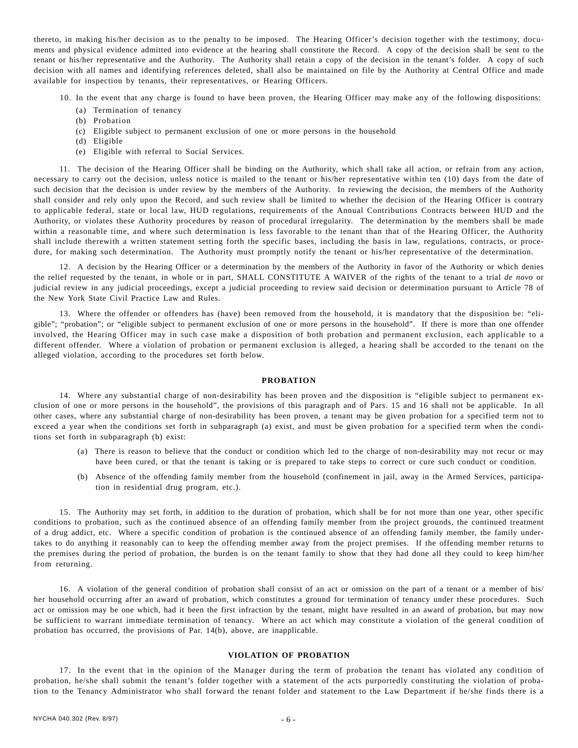thereto, in making his/her decision as to the penalty to be imposed. The Hearing Officer's decision together with the testimony, documents and physical evidence admitted into evidence at the hearing shall constitute the Record. A copy of the decision shall be sent to the tenant or his/her representative and the Authority. The Authority shall retain a copy of the decision in the tenant's folder. A copy of such decision with all names and identifying references deleted, shall also be maintained on file by the Authority at Central Office and made available for inspection by tenants, their representatives, or Hearing Officers.

- 10. In the event that any charge is found to have been proven, the Hearing Officer may make any of the following dispositions:
	- (a) Termination of tenancy
	- (b) Probation
	- (c) Eligible subject to permanent exclusion of one or more persons in the household
	- (d) Eligible
	- (e) Eligible with referral to Social Services.

11. The decision of the Hearing Officer shall be binding on the Authority, which shall take all action, or refrain from any action, necessary to carry out the decision, unless notice is mailed to the tenant or his/her representative within ten (10) days from the date of such decision that the decision is under review by the members of the Authority. In reviewing the decision, the members of the Authority shall consider and rely only upon the Record, and such review shall be limited to whether the decision of the Hearing Officer is contrary to applicable federal, state or local law, HUD regulations, requirements of the Annual Contributions Contracts between HUD and the Authority, or violates these Authority procedures by reason of procedural irregularity. The determination by the members shall be made within a reasonable time, and where such determination is less favorable to the tenant than that of the Hearing Officer, the Authority shall include therewith a written statement setting forth the specific bases, including the basis in law, regulations, contracts, or procedure, for making such determination. The Authority must promptly notify the tenant or his/her representative of the determination.

12. A decision by the Hearing Officer or a determination by the members of the Authority in favor of the Authority or which denies the relief requested by the tenant, in whole or in part, SHALL CONSTITUTE A WAIVER of the rights of the tenant to a trial *de novo* or judicial review in any judicial proceedings, except a judicial proceeding to review said decision or determination pursuant to Article 78 of the New York State Civil Practice Law and Rules.

13. Where the offender or offenders has (have) been removed from the household, it is mandatory that the disposition be: "eligible"; "probation"; or "eligible subject to permanent exclusion of one or more persons in the household". If there is more than one offender involved, the Hearing Officer may in such case make a disposition of both probation and permanent exclusion, each applicable to a different offender. Where a violation of probation or permanent exclusion is alleged, a hearing shall be accorded to the tenant on the alleged violation, according to the procedures set forth below.

### **PROBATION**

14. Where any substantial charge of non-desirability has been proven and the disposition is "eligible subject to permanent exclusion of one or more persons in the household", the provisions of this paragraph and of Pars. 15 and 16 shall not be applicable. In all other cases, where any substantial charge of non-desirability has been proven, a tenant may be given probation for a specified term not to exceed a year when the conditions set forth in subparagraph (a) exist, and must be given probation for a specified term when the conditions set forth in subparagraph (b) exist:

- (a) There is reason to believe that the conduct or condition which led to the charge of non-desirability may not recur or may have been cured, or that the tenant is taking or is prepared to take steps to correct or cure such conduct or condition.
- (b) Absence of the offending family member from the household (confinement in jail, away in the Armed Services, participation in residential drug program, etc.).

15. The Authority may set forth, in addition to the duration of probation, which shall be for not more than one year, other specific conditions to probation, such as the continued absence of an offending family member from the project grounds, the continued treatment of a drug addict, etc. Where a specific condition of probation is the continued absence of an offending family member, the family undertakes to do anything it reasonably can to keep the offending member away from the project premises. If the offending member returns to the premises during the period of probation, the burden is on the tenant family to show that they had done all they could to keep him/her from returning.

16. A violation of the general condition of probation shall consist of an act or omission on the part of a tenant or a member of his/ her household occurring after an award of probation, which constitutes a ground for termination of tenancy under these procedures. Such act or omission may be one which, had it been the first infraction by the tenant, might have resulted in an award of probation, but may now be sufficient to warrant immediate termination of tenancy. Where an act which may constitute a violation of the general condition of probation has occurred, the provisions of Par. 14(b), above, are inapplicable.

#### **VIOLATION OF PROBATION**

17. In the event that in the opinion of the Manager during the term of probation the tenant has violated any condition of probation, he/she shall submit the tenant's folder together with a statement of the acts purportedly constituting the violation of probation to the Tenancy Administrator who shall forward the tenant folder and statement to the Law Department if he/she finds there is a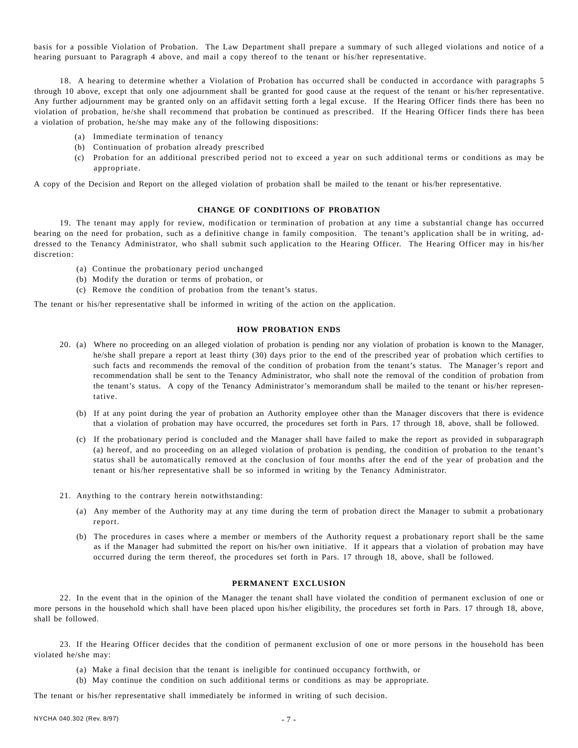basis for a possible Violation of Probation. The Law Department shall prepare a summary of such alleged violations and notice of a hearing pursuant to Paragraph 4 above, and mail a copy thereof to the tenant or his/her representative.

18. A hearing to determine whether a Violation of Probation has occurred shall be conducted in accordance with paragraphs 5 through 10 above, except that only one adjournment shall be granted for good cause at the request of the tenant or his/her representative. Any further adjournment may be granted only on an affidavit setting forth a legal excuse. If the Hearing Officer finds there has been no violation of probation, he/she shall recommend that probation be continued as prescribed. If the Hearing Officer finds there has been a violation of probation, he/she may make any of the following dispositions:

- (a) Immediate termination of tenancy
- (b) Continuation of probation already prescribed
- (c) Probation for an additional prescribed period not to exceed a year on such additional terms or conditions as may be appropriate.

A copy of the Decision and Report on the alleged violation of probation shall be mailed to the tenant or his/her representative.

#### **CHANGE OF CONDITIONS OF PROBATION**

19. The tenant may apply for review, modification or termination of probation at any time a substantial change has occurred bearing on the need for probation, such as a definitive change in family composition. The tenant's application shall be in writing, addressed to the Tenancy Administrator, who shall submit such application to the Hearing Officer. The Hearing Officer may in his/her discretion:

- (a) Continue the probationary period unchanged
- (b) Modify the duration or terms of probation, or
- (c) Remove the condition of probation from the tenant's status.

The tenant or his/her representative shall be informed in writing of the action on the application.

## **HOW PROBATION ENDS**

- 20. (a) Where no proceeding on an alleged violation of probation is pending nor any violation of probation is known to the Manager, he/she shall prepare a report at least thirty (30) days prior to the end of the prescribed year of probation which certifies to such facts and recommends the removal of the condition of probation from the tenant's status. The Manager's report and recommendation shall be sent to the Tenancy Administrator, who shall note the removal of the condition of probation from the tenant's status. A copy of the Tenancy Administrator's memorandum shall be mailed to the tenant or his/her representative.
	- (b) If at any point during the year of probation an Authority employee other than the Manager discovers that there is evidence that a violation of probation may have occurred, the procedures set forth in Pars. 17 through 18, above, shall be followed.
	- (c) If the probationary period is concluded and the Manager shall have failed to make the report as provided in subparagraph (a) hereof, and no proceeding on an alleged violation of probation is pending, the condition of probation to the tenant's status shall be automatically removed at the conclusion of four months after the end of the year of probation and the tenant or his/her representative shall be so informed in writing by the Tenancy Administrator.
- 21. Anything to the contrary herein notwithstanding:
	- (a) Any member of the Authority may at any time during the term of probation direct the Manager to submit a probationary report.
	- (b) The procedures in cases where a member or members of the Authority request a probationary report shall be the same as if the Manager had submitted the report on his/her own initiative. If it appears that a violation of probation may have occurred during the term thereof, the procedures set forth in Pars. 17 through 18, above, shall be followed.

#### **PERMANENT EXCLUSION**

22. In the event that in the opinion of the Manager the tenant shall have violated the condition of permanent exclusion of one or more persons in the household which shall have been placed upon his/her eligibility, the procedures set forth in Pars. 17 through 18, above, shall be followed.

23. If the Hearing Officer decides that the condition of permanent exclusion of one or more persons in the household has been violated he/she may:

- (a) Make a final decision that the tenant is ineligible for continued occupancy forthwith, or
- (b) May continue the condition on such additional terms or conditions as may be appropriate.

The tenant or his/her representative shall immediately be informed in writing of such decision.